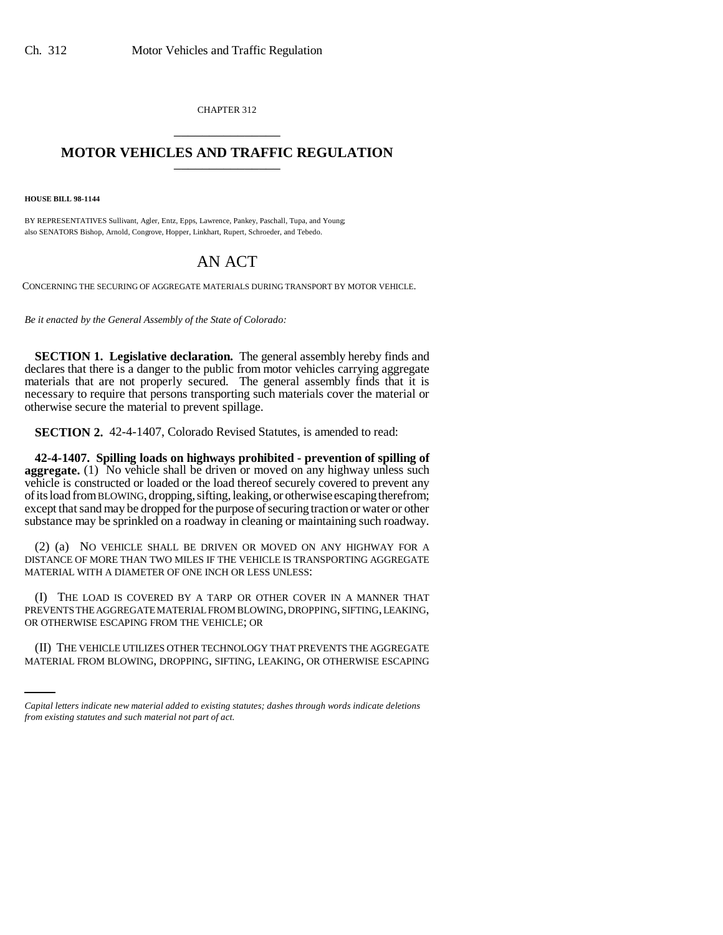CHAPTER 312 \_\_\_\_\_\_\_\_\_\_\_\_\_\_\_

## **MOTOR VEHICLES AND TRAFFIC REGULATION** \_\_\_\_\_\_\_\_\_\_\_\_\_\_\_

**HOUSE BILL 98-1144**

BY REPRESENTATIVES Sullivant, Agler, Entz, Epps, Lawrence, Pankey, Paschall, Tupa, and Young; also SENATORS Bishop, Arnold, Congrove, Hopper, Linkhart, Rupert, Schroeder, and Tebedo.

## AN ACT

CONCERNING THE SECURING OF AGGREGATE MATERIALS DURING TRANSPORT BY MOTOR VEHICLE.

*Be it enacted by the General Assembly of the State of Colorado:*

**SECTION 1. Legislative declaration.** The general assembly hereby finds and declares that there is a danger to the public from motor vehicles carrying aggregate materials that are not properly secured. The general assembly finds that it is necessary to require that persons transporting such materials cover the material or otherwise secure the material to prevent spillage.

**SECTION 2.** 42-4-1407, Colorado Revised Statutes, is amended to read:

**42-4-1407. Spilling loads on highways prohibited - prevention of spilling of aggregate.** (1) No vehicle shall be driven or moved on any highway unless such vehicle is constructed or loaded or the load thereof securely covered to prevent any of its load from BLOWING, dropping, sifting, leaking, or otherwise escaping therefrom; except that sand may be dropped for the purpose of securing traction or water or other substance may be sprinkled on a roadway in cleaning or maintaining such roadway.

(2) (a) NO VEHICLE SHALL BE DRIVEN OR MOVED ON ANY HIGHWAY FOR A DISTANCE OF MORE THAN TWO MILES IF THE VEHICLE IS TRANSPORTING AGGREGATE MATERIAL WITH A DIAMETER OF ONE INCH OR LESS UNLESS:

OR OTHERWISE ESCAPING FROM THE VEHICLE; OR (I) THE LOAD IS COVERED BY A TARP OR OTHER COVER IN A MANNER THAT PREVENTS THE AGGREGATE MATERIAL FROM BLOWING, DROPPING, SIFTING, LEAKING,

(II) THE VEHICLE UTILIZES OTHER TECHNOLOGY THAT PREVENTS THE AGGREGATE MATERIAL FROM BLOWING, DROPPING, SIFTING, LEAKING, OR OTHERWISE ESCAPING

*Capital letters indicate new material added to existing statutes; dashes through words indicate deletions from existing statutes and such material not part of act.*